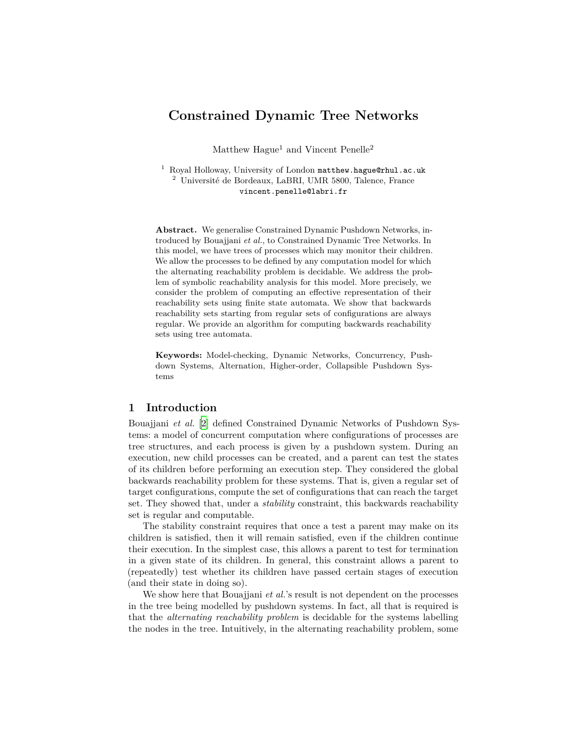# **Constrained Dynamic Tree Networks**

Matthew  $Haquel$  and Vincent Penelle<sup>2</sup>

 $1$  Royal Holloway, University of London matthew.hague@rhul.ac.uk <sup>2</sup> Université de Bordeaux, LaBRI, UMR 5800, Talence, France vincent.penelle@labri.fr

**Abstract.** We generalise Constrained Dynamic Pushdown Networks, introduced by Bouajjani *et al.*, to Constrained Dynamic Tree Networks. In this model, we have trees of processes which may monitor their children. We allow the processes to be defined by any computation model for which the alternating reachability problem is decidable. We address the problem of symbolic reachability analysis for this model. More precisely, we consider the problem of computing an effective representation of their reachability sets using finite state automata. We show that backwards reachability sets starting from regular sets of configurations are always regular. We provide an algorithm for computing backwards reachability sets using tree automata.

**Keywords:** Model-checking, Dynamic Networks, Concurrency, Pushdown Systems, Alternation, Higher-order, Collapsible Pushdown Systems

# **1 Introduction**

Bouajjani *et al.* [\[2](#page-10-0)] defined Constrained Dynamic Networks of Pushdown Systems: a model of concurrent computation where configurations of processes are tree structures, and each process is given by a pushdown system. During an execution, new child processes can be created, and a parent can test the states of its children before performing an execution step. They considered the global backwards reachability problem for these systems. That is, given a regular set of target configurations, compute the set of configurations that can reach the target set. They showed that, under a *stability* constraint, this backwards reachability set is regular and computable.

The stability constraint requires that once a test a parent may make on its children is satisfied, then it will remain satisfied, even if the children continue their execution. In the simplest case, this allows a parent to test for termination in a given state of its children. In general, this constraint allows a parent to (repeatedly) test whether its children have passed certain stages of execution (and their state in doing so).

We show here that Bouajjani *et al.*'s result is not dependent on the processes in the tree being modelled by pushdown systems. In fact, all that is required is that the *alternating reachability problem* is decidable for the systems labelling the nodes in the tree. Intuitively, in the alternating reachability problem, some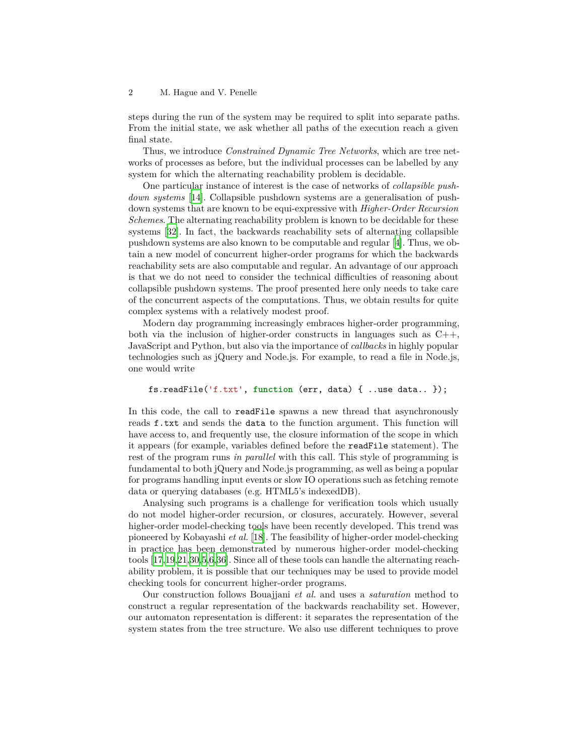steps during the run of the system may be required to split into separate paths. From the initial state, we ask whether all paths of the execution reach a given final state.

Thus, we introduce *Constrained Dynamic Tree Networks*, which are tree networks of processes as before, but the individual processes can be labelled by any system for which the alternating reachability problem is decidable.

One particular instance of interest is the case of networks of *collapsible pushdown systems* [[14](#page-11-0)]. Collapsible pushdown systems are a generalisation of pushdown systems that are known to be equi-expressive with *Higher-Order Recursion Schemes*. The alternating reachability problem is known to be decidable for these systems [\[32](#page-11-1)]. In fact, the backwards reachability sets of alternating collapsible pushdown systems are also known to be computable and regular [\[4](#page-10-1)]. Thus, we obtain a new model of concurrent higher-order programs for which the backwards reachability sets are also computable and regular. An advantage of our approach is that we do not need to consider the technical difficulties of reasoning about collapsible pushdown systems. The proof presented here only needs to take care of the concurrent aspects of the computations. Thus, we obtain results for quite complex systems with a relatively modest proof.

Modern day programming increasingly embraces higher-order programming, both via the inclusion of higher-order constructs in languages such as  $C_{++}$ , JavaScript and Python, but also via the importance of *callbacks* in highly popular technologies such as jQuery and Node.js. For example, to read a file in Node.js, one would write

# fs.readFile('f.txt', **function** (err, data) { ..use data.. });

In this code, the call to readFile spawns a new thread that asynchronously reads f.txt and sends the data to the function argument. This function will have access to, and frequently use, the closure information of the scope in which it appears (for example, variables defined before the readFile statement). The rest of the program runs *in parallel* with this call. This style of programming is fundamental to both jQuery and Node.js programming, as well as being a popular for programs handling input events or slow IO operations such as fetching remote data or querying databases (e.g. HTML5's indexedDB).

Analysing such programs is a challenge for verification tools which usually do not model higher-order recursion, or closures, accurately. However, several higher-order model-checking tools have been recently developed. This trend was pioneered by Kobayashi *et al.* [[18\]](#page-11-2). The feasibility of higher-order model-checking in practice has been demonstrated by numerous higher-order model-checking tools [[17](#page-11-3)[,19](#page-11-4)[,21](#page-11-5),[30,](#page-11-6)[5](#page-10-2)[,6](#page-10-3)[,36](#page-11-7)]. Since all of these tools can handle the alternating reachability problem, it is possible that our techniques may be used to provide model checking tools for concurrent higher-order programs.

Our construction follows Bouajjani *et al.* and uses a *saturation* method to construct a regular representation of the backwards reachability set. However, our automaton representation is different: it separates the representation of the system states from the tree structure. We also use different techniques to prove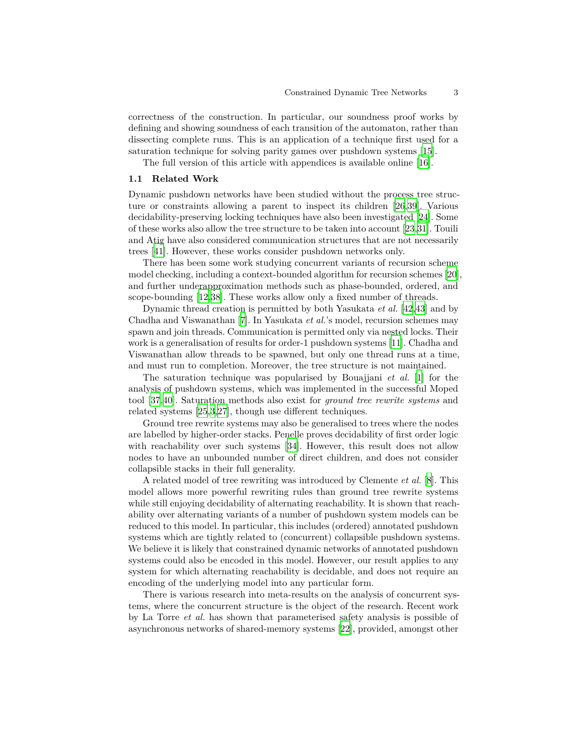correctness of the construction. In particular, our soundness proof works by defining and showing soundness of each transition of the automaton, rather than dissecting complete runs. This is an application of a technique first used for a saturation technique for solving parity games over pushdown systems [\[15](#page-11-8)].

The full version of this article with appendices is available online [\[16](#page-11-9)].

### **1.1 Related Work**

Dynamic pushdown networks have been studied without the process tree structure or constraints allowing a parent to inspect its children [[26](#page-11-10)[,39](#page-12-0)]. Various decidability-preserving locking techniques have also been investigated [\[24](#page-11-11)]. Some of these works also allow the tree structure to be taken into account [[23,](#page-11-12)[31\]](#page-11-13). Touili and Atig have also considered communication structures that are not necessarily trees [\[41](#page-12-1)]. However, these works consider pushdown networks only.

There has been some work studying concurrent variants of recursion scheme model checking, including a context-bounded algorithm for recursion schemes [\[20](#page-11-14)], and further underapproximation methods such as phase-bounded, ordered, and scope-bounding [\[12](#page-10-4)[,38](#page-12-2)]. These works allow only a fixed number of threads.

Dynamic thread creation is permitted by both Yasukata *et al.* [\[42](#page-12-3),[43\]](#page-12-4) and by Chadha and Viswanathan [\[7](#page-10-5)]. In Yasukata *et al.*'s model, recursion schemes may spawn and join threads. Communication is permitted only via nested locks. Their work is a generalisation of results for order-1 pushdown systems [\[11](#page-10-6)]. Chadha and Viswanathan allow threads to be spawned, but only one thread runs at a time, and must run to completion. Moreover, the tree structure is not maintained.

The saturation technique was popularised by Bouajjani *et al.* [\[1](#page-10-7)] for the analysis of pushdown systems, which was implemented in the successful Moped tool [\[37](#page-11-15),[40\]](#page-12-5). Saturation methods also exist for *ground tree rewrite systems* and related systems [[25](#page-11-16)[,3](#page-10-8)[,27](#page-11-17)], though use different techniques.

Ground tree rewrite systems may also be generalised to trees where the nodes are labelled by higher-order stacks. Penelle proves decidability of first order logic with reachability over such systems [\[34](#page-11-18)]. However, this result does not allow nodes to have an unbounded number of direct children, and does not consider collapsible stacks in their full generality.

A related model of tree rewriting was introduced by Clemente *et al.* [[8\]](#page-10-9). This model allows more powerful rewriting rules than ground tree rewrite systems while still enjoying decidability of alternating reachability. It is shown that reachability over alternating variants of a number of pushdown system models can be reduced to this model. In particular, this includes (ordered) annotated pushdown systems which are tightly related to (concurrent) collapsible pushdown systems. We believe it is likely that constrained dynamic networks of annotated pushdown systems could also be encoded in this model. However, our result applies to any system for which alternating reachability is decidable, and does not require an encoding of the underlying model into any particular form.

There is various research into meta-results on the analysis of concurrent systems, where the concurrent structure is the object of the research. Recent work by La Torre *et al.* has shown that parameterised safety analysis is possible of asynchronous networks of shared-memory systems [\[22\]](#page-11-19), provided, amongst other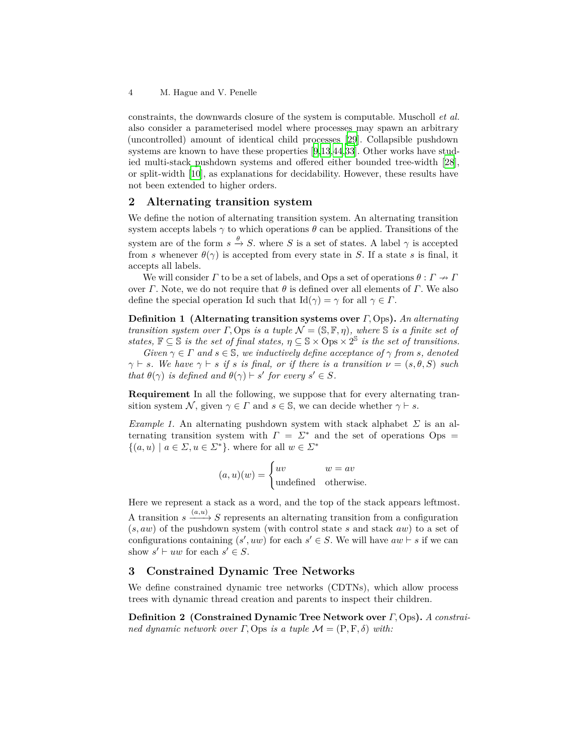constraints, the downwards closure of the system is computable. Muscholl *et al.* also consider a parameterised model where processes may spawn an arbitrary (uncontrolled) amount of identical child processes [[29\]](#page-11-20). Collapsible pushdown systems are known to have these properties [[9,](#page-10-10)[13](#page-11-21)[,44](#page-12-6),[33\]](#page-11-22). Other works have studied multi-stack pushdown systems and offered either bounded tree-width [\[28](#page-11-23)], or split-width [\[10](#page-10-11)], as explanations for decidability. However, these results have not been extended to higher orders.

# **2 Alternating transition system**

We define the notion of alternating transition system. An alternating transition system accepts labels  $\gamma$  to which operations  $\theta$  can be applied. Transitions of the system are of the form  $s \stackrel{\theta}{\to} S$ . where *S* is a set of states. A label  $\gamma$  is accepted from *s* whenever  $\theta(\gamma)$  is accepted from every state in *S*. If a state *s* is final, it accepts all labels.

We will consider *Γ* to be a set of labels, and Ops a set of operations  $\theta : \Gamma \to \Gamma$ over *Γ*. Note, we do not require that  $\theta$  is defined over all elements of *Γ*. We also define the special operation Id such that  $\text{Id}(\gamma) = \gamma$  for all  $\gamma \in \Gamma$ .

**Definition 1 (Alternating transition systems over** *Γ,* Ops**).** *An alternating transition system over Γ*, Ops *is a tuple*  $\mathcal{N} = (\mathbb{S}, \mathbb{F}, \eta)$ *, where*  $\mathbb{S}$  *is a finite set of states,*  $\mathbb{F} \subseteq \mathbb{S}$  *is the set of final states,*  $\eta \subseteq \mathbb{S} \times \text{Ops} \times 2^{\mathbb{S}}$  *is the set of transitions.* 

*Given*  $\gamma \in \Gamma$  *and*  $s \in \mathbb{S}$ *, we inductively define acceptance of*  $\gamma$  *from s, denoted*  $\gamma$  *⊨ s.* We have  $\gamma$  *⊢ s if s is final, or if there is a transition*  $\nu = (s, \theta, S)$  *such that*  $\theta(\gamma)$  *is defined and*  $\theta(\gamma) \vdash s'$  *for every*  $s' \in S$ *.* 

**Requirement** In all the following, we suppose that for every alternating transition system *N*, given  $\gamma \in \Gamma$  and  $s \in \mathbb{S}$ , we can decide whether  $\gamma \vdash s$ .

<span id="page-3-0"></span>*Example 1.* An alternating pushdown system with stack alphabet *Σ* is an alternating transition system with  $\Gamma = \Sigma^*$  and the set of operations Ops =  ${(a, u) | a \in \Sigma, u \in \Sigma^*}$ , where for all  $w \in \Sigma^*$ 

$$
(a, u)(w) = \begin{cases} uv & w = av \\ \text{undefined} & \text{otherwise.} \end{cases}
$$

Here we represent a stack as a word, and the top of the stack appears leftmost. A transition  $s \xrightarrow{(a,u)} S$  represents an alternating transition from a configuration (*s, aw*) of the pushdown system (with control state *s* and stack *aw*) to a set of configurations containing  $(s', uw)$  for each  $s' \in S$ . We will have  $aw \vdash s$  if we can show  $s' \vdash uw$  for each  $s' \in S$ .

# **3 Constrained Dynamic Tree Networks**

We define constrained dynamic tree networks (CDTNs), which allow process trees with dynamic thread creation and parents to inspect their children.

**Definition 2 (Constrained Dynamic Tree Network over** *Γ,* Ops**).** *A constrained dynamic network over*  $\Gamma$ , Ops *is a tuple*  $\mathcal{M} = (\mathcal{P}, \mathcal{F}, \delta)$  *with:*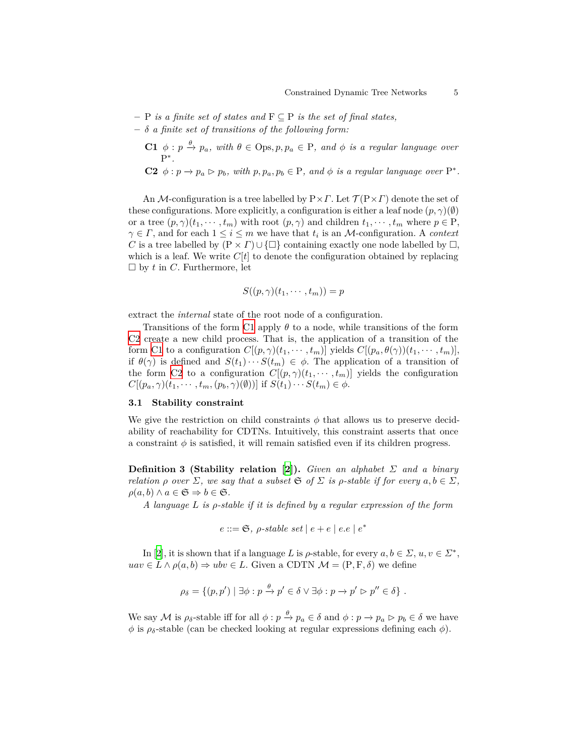- **–** P *is a finite set of states and* F *⊆* P *is the set of final states,*
- <span id="page-4-0"></span>**–** *δ a finite set of transitions of the following form:*
	- **C1**  $\phi: p \stackrel{\theta}{\to} p_a$ , with  $\theta \in \text{Ops}, p, p_a \in \text{P}$ , and  $\phi$  is a regular language over P *∗ .*
	- C2  $\phi: p \to p_a \rhd p_b$ , with  $p, p_a, p_b \in \mathbf{P}$ , and  $\phi$  is a regular language over  $\mathbf{P}^*$ .

<span id="page-4-1"></span>An *M*-configuration is a tree labelled by P*×Γ*. Let *T* (P*×Γ*) denote the set of these configurations. More explicitly, a configuration is either a leaf node  $(p, \gamma)(\emptyset)$ or a tree  $(p, \gamma)(t_1, \dots, t_m)$  with root  $(p, \gamma)$  and children  $t_1, \dots, t_m$  where  $p \in P$ ,  $\gamma \in \Gamma$ , and for each  $1 \leq i \leq m$  we have that  $t_i$  is an *M*-configuration. A *context C* is a tree labelled by  $(P \times \Gamma) \cup \{\Box\}$  containing exactly one node labelled by  $\Box$ , which is a leaf. We write  $C[t]$  to denote the configuration obtained by replacing  $\square$  by  $t$  in  $C$ . Furthermore, let

$$
S((p,\gamma)(t_1,\cdots,t_m))=p
$$

extract the *internal* state of the root node of a configuration.

Transitions of the form [C1](#page-4-0) apply *θ* to a node, while transitions of the form [C2](#page-4-1) create a new child process. That is, the application of a transition of the form [C1](#page-4-0) to a configuration  $C[(p, \gamma)(t_1, \dots, t_m)]$  yields  $C[(p_a, \theta(\gamma))(t_1, \dots, t_m)]$ , if  $\theta(\gamma)$  is defined and  $S(t_1)\cdots S(t_m) \in \phi$ . The application of a transition of the form [C2](#page-4-1) to a configuration  $C[(p, \gamma)(t_1, \dots, t_m)]$  yields the configuration  $C[(p_a, \gamma)(t_1, \cdots, t_m, (p_b, \gamma)(\emptyset))]$  if  $S(t_1) \cdots S(t_m) \in \emptyset$ .

# **3.1 Stability constraint**

We give the restriction on child constraints  $\phi$  that allows us to preserve decidability of reachability for CDTNs. Intuitively, this constraint asserts that once a constraint  $\phi$  is satisfied, it will remain satisfied even if its children progress.

**Definition 3 (Stability relation [[2\]](#page-10-0)).** *Given an alphabet Σ and a binary relation*  $\rho$  *over*  $\Sigma$ *, we say that a subset*  $\mathfrak{S}$  *of*  $\Sigma$  *is*  $\rho$ *-stable if for every*  $a, b \in \Sigma$ *,*  $\rho(a, b) \wedge a \in \mathfrak{S} \Rightarrow b \in \mathfrak{S}.$ 

*A language L is ρ-stable if it is defined by a regular expression of the form*

$$
e ::= \mathfrak{S}, \ \rho\text{-stable set} \mid e + e \mid e \text{.} e \mid e^*
$$

In [\[2](#page-10-0)], it is shown that if a language *L* is  $\rho$ -stable, for every  $a, b \in \Sigma$ ,  $u, v \in \Sigma^*$ , *uav* ∈ *L*  $\land$   $\rho$ (*a, b*)  $\Rightarrow$  *ubv* ∈ *L*. Given a CDTN  $\mathcal{M}$  = (P, F,  $\delta$ ) we define

$$
\rho_{\delta} = \{ (p, p') \mid \exists \phi : p \xrightarrow{\theta} p' \in \delta \vee \exists \phi : p \to p' \triangleright p'' \in \delta \} .
$$

We say  $\mathcal M$  is  $\rho_{\delta}$ -stable iff for all  $\phi: p \stackrel{\theta}{\to} p_a \in \delta$  and  $\phi: p \to p_a \triangleright p_b \in \delta$  we have  $\phi$  is  $\rho_{\delta}$ -stable (can be checked looking at regular expressions defining each  $\phi$ ).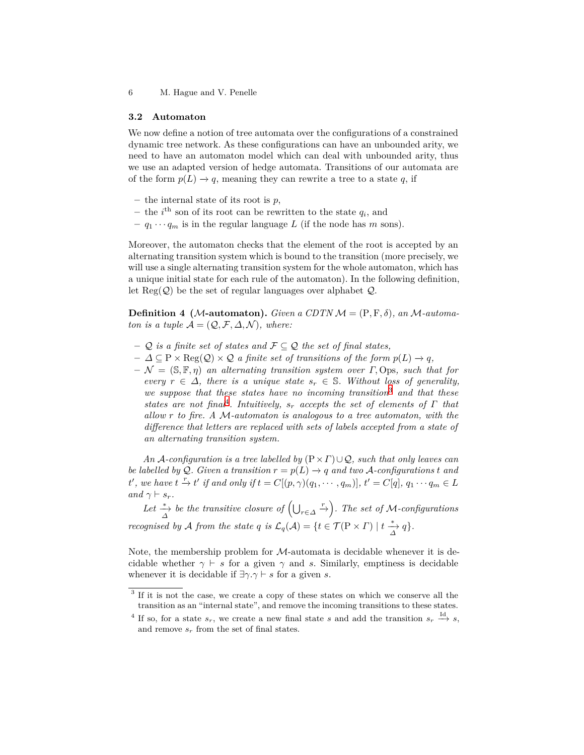6 M. Hague and V. Penelle

### **3.2 Automaton**

We now define a notion of tree automata over the configurations of a constrained dynamic tree network. As these configurations can have an unbounded arity, we need to have an automaton model which can deal with unbounded arity, thus we use an adapted version of hedge automata. Transitions of our automata are of the form  $p(L) \rightarrow q$ , meaning they can rewrite a tree to a state q, if

- **–** the internal state of its root is *p*,
- $-$  the *i*<sup>th</sup> son of its root can be rewritten to the state  $q_i$ , and
- $q_1 \cdots q_m$  is in the regular language *L* (if the node has *m* sons).

Moreover, the automaton checks that the element of the root is accepted by an alternating transition system which is bound to the transition (more precisely, we will use a single alternating transition system for the whole automaton, which has a unique initial state for each rule of the automaton). In the following definition, let Reg(*Q*) be the set of regular languages over alphabet *Q*.

**Definition 4** (*M***-automaton**). *Given a CDTN*  $M = (P, F, \delta)$ *, an*  $M$ *-automaton is a tuple*  $A = (Q, \mathcal{F}, \Delta, \mathcal{N})$ *, where:* 

- **–** *Q is a finite set of states and F ⊆ Q the set of final states,*
- $-$  *∆*  $\subseteq$  P  $\times$  Reg(*Q*)  $\times$  *Q a finite set of transitions of the form*  $p(L)$  *→ <i>q*,
- **–** *N* = (S*,* F*, η*) *an alternating transition system over Γ,* Ops*, such that for every*  $r \in \Delta$ , there is a unique state  $s_r \in \mathbb{S}$ . Without loss of generality, *we suppose that these states have no incoming transition*[3](#page-5-0) *and that these states are not final*[4](#page-5-1) *. Intuitively, s<sup>r</sup> accepts the set of elements of Γ that allow r to fire. A M-automaton is analogous to a tree automaton, with the difference that letters are replaced with sets of labels accepted from a state of an alternating transition system.*

*An A-configuration is a tree labelled by* (P*×Γ*)*∪Q, such that only leaves can be labelled by*  $Q$ *. Given a transition*  $r = p(L) \rightarrow q$  *and two*  $A$ *-configurations*  $t$  *and* t', we have  $t \stackrel{r}{\rightarrow} t'$  if and only if  $t = C[(p, \gamma)(q_1, \cdots, q_m)], t' = C[q], q_1 \cdots q_m \in L$  $and \gamma \vdash s_r.$ 

 $Let \frac{*}{\Delta}$  be the transitive closure of  $(\bigcup_{r \in \Delta} \xrightarrow{r})$ . The set of *M*-configurations *recognised by A from the state q is*  $\mathcal{L}_q(\mathcal{A}) = \{ t \in \mathcal{T}(\mathrm{P} \times \mathrm{P}) \mid t \stackrel{*}{\underset{\Delta}{\longrightarrow}} q \}.$ 

Note, the membership problem for *M*-automata is decidable whenever it is decidable whether  $\gamma$  *⊢ s* for a given  $\gamma$  and *s*. Similarly, emptiness is decidable whenever it is decidable if  $\exists \gamma . \gamma \vdash s$  for a given *s*.

<span id="page-5-0"></span><sup>&</sup>lt;sup>3</sup> If it is not the case, we create a copy of these states on which we conserve all the transition as an "internal state", and remove the incoming transitions to these states.

<span id="page-5-1"></span><sup>&</sup>lt;sup>4</sup> If so, for a state  $s_r$ , we create a new final state *s* and add the transition  $s_r \stackrel{\text{Id}}{\longrightarrow} s$ , and remove  $s_r$  from the set of final states.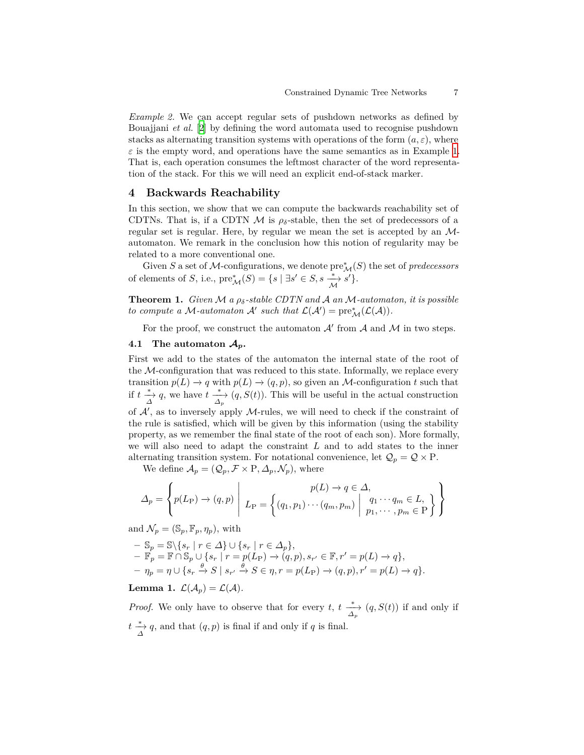*Example 2.* We can accept regular sets of pushdown networks as defined by Bouajjani *et al.* [[2\]](#page-10-0) by defining the word automata used to recognise pushdown stacks as alternating transition systems with operations of the form  $(a, \varepsilon)$ , where  $\varepsilon$  is the empty word, and operations have the same semantics as in Example [1.](#page-3-0) That is, each operation consumes the leftmost character of the word representation of the stack. For this we will need an explicit end-of-stack marker.

# **4 Backwards Reachability**

In this section, we show that we can compute the backwards reachability set of CDTNs. That is, if a CDTN  $\mathcal M$  is  $\rho_{\delta}$ -stable, then the set of predecessors of a regular set is regular. Here, by regular we mean the set is accepted by an *M*automaton. We remark in the conclusion how this notion of regularity may be related to a more conventional one.

Given *S* a set of *M*-configurations, we denote  $\text{pre}_{\mathcal{M}}^*(S)$  the set of *predecessors* of elements of *S*, i.e.,  $\text{pre}_{\mathcal{M}}^{*}(S) = \{s \mid \exists s' \in S, s \stackrel{*}{\underset{\mathcal{M}}{\longrightarrow}}$ *s ′}*.

**Theorem 1.** *Given M a ρδ-stable CDTN and A an M-automaton, it is possible to compute a M*-automaton *A'* such that  $\mathcal{L}(\mathcal{A}') = \text{pre}^*_{\mathcal{M}}(\mathcal{L}(\mathcal{A})).$ 

For the proof, we construct the automaton  $A'$  from  $A$  and  $M$  in two steps.

### **4.1** The automaton  $\mathcal{A}_p$ .

First we add to the states of the automaton the internal state of the root of the *M*-configuration that was reduced to this state. Informally, we replace every transition  $p(L) \to q$  with  $p(L) \to (q, p)$ , so given an *M*-configuration *t* such that if  $t \stackrel{*}{\to} q$ , we have  $t \stackrel{*}{\to} (q, S(t))$ . This will be useful in the actual construction of *A′* , as to inversely apply *M*-rules, we will need to check if the constraint of the rule is satisfied, which will be given by this information (using the stability property, as we remember the final state of the root of each son). More formally, we will also need to adapt the constraint *L* and to add states to the inner alternating transition system. For notational convenience, let  $\mathcal{Q}_p = \mathcal{Q} \times P$ .

We define  $\mathcal{A}_p = (\mathcal{Q}_p, \mathcal{F} \times \mathbf{P}, \Delta_p, \mathcal{N}_p)$ , where

$$
\Delta_p = \left\{ p(L_P) \to (q, p) \mid L_P = \left\{ (q_1, p_1) \cdots (q_m, p_m) \mid \begin{array}{c} p(L) \to q \in \Delta, \\ q_1 \cdots q_m \in L, \\ p_1, \cdots, p_m \in P \end{array} \right\} \right\}
$$

and  $\mathcal{N}_p = (\mathbb{S}_p, \mathbb{F}_p, \eta_p)$ , with

$$
\begin{aligned}\n& - \mathbb{S}_p = \mathbb{S} \setminus \{ s_r \mid r \in \Delta \} \cup \{ s_r \mid r \in \Delta_p \}, \\
& - \mathbb{F}_p = \mathbb{F} \cap \mathbb{S}_p \cup \{ s_r \mid r = p(L_P) \to (q, p), s_{r'} \in \mathbb{F}, r' = p(L) \to q \}, \\
& - \eta_p = \eta \cup \{ s_r \xrightarrow{\theta} S \mid s_{r'} \xrightarrow{\theta} S \in \eta, r = p(L_P) \to (q, p), r' = p(L) \to q \}.\n\end{aligned}
$$

# **Lemma 1.**  $\mathcal{L}(\mathcal{A}_p) = \mathcal{L}(\mathcal{A})$ .

*Proof.* We only have to observe that for every *t*,  $t \xrightarrow[\Delta_p]{*} (q, S(t))$  if and only if  $t \stackrel{*}{\underset{\Delta}{\longrightarrow}} q$ , and that  $(q, p)$  is final if and only if *q* is final.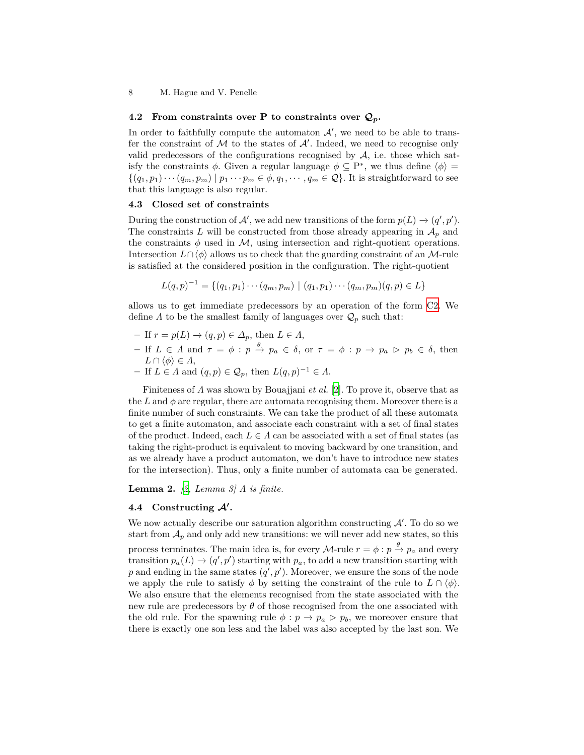8 M. Hague and V. Penelle

### **4.2 From constraints over P to constraints over**  $Q_p$ **.**

In order to faithfully compute the automaton  $A'$ , we need to be able to transfer the constraint of *M* to the states of *A′* . Indeed, we need to recognise only valid predecessors of the configurations recognised by  $A$ , i.e. those which satisfy the constraints  $\phi$ . Given a regular language  $\phi \subseteq P^*$ , we thus define  $\langle \phi \rangle =$  $\{(q_1, p_1) \cdots (q_m, p_m) \mid p_1 \cdots p_m \in \phi, q_1, \cdots, q_m \in \mathcal{Q}\}.$  It is straightforward to see that this language is also regular.

### **4.3 Closed set of constraints**

During the construction of  $\mathcal{A}'$ , we add new transitions of the form  $p(L) \rightarrow (q', p')$ . The constraints L will be constructed from those already appearing in  $A_p$  and the constraints  $\phi$  used in  $\mathcal{M}$ , using intersection and right-quotient operations. Intersection *L∩ ⟨ϕ⟩* allows us to check that the guarding constraint of an *M*-rule is satisfied at the considered position in the configuration. The right-quotient

$$
L(q,p)^{-1} = \{(q_1, p_1) \cdots (q_m, p_m) \mid (q_1, p_1) \cdots (q_m, p_m) (q, p) \in L\}
$$

allows us to get immediate predecessors by an operation of the form [C2.](#page-4-1) We define  $\Lambda$  to be the smallest family of languages over  $\mathcal{Q}_p$  such that:

- **–** If *r* = *p*(*L*) *−→* (*q, p*) *∈ ∆p*, then *L ∈ Λ*,
- If  $L \in \Lambda$  and  $\tau = \phi : p \stackrel{\theta}{\to} p_a \in \delta$ , or  $\tau = \phi : p \to p_a \triangleright p_b \in \delta$ , then  $L \cap \langle \phi \rangle \in \Lambda$ ,
- $-$  If  $L \in \Lambda$  and  $(q, p) \in \mathcal{Q}_p$ , then  $L(q, p)^{-1} \in \Lambda$ .

Finiteness of *Λ* was shown by Bouajjani *et al.* [[2\]](#page-10-0). To prove it, observe that as the L and  $\phi$  are regular, there are automata recognising them. Moreover there is a finite number of such constraints. We can take the product of all these automata to get a finite automaton, and associate each constraint with a set of final states of the product. Indeed, each  $L \in \Lambda$  can be associated with a set of final states (as taking the right-product is equivalent to moving backward by one transition, and as we already have a product automaton, we don't have to introduce new states for the intersection). Thus, only a finite number of automata can be generated.

**Lemma 2.** *[\[2](#page-10-0), Lemma 3] Λ is finite.*

# **4.4 Constructing** *A′* **.**

We now actually describe our saturation algorithm constructing *A′* . To do so we start from  $A_p$  and only add new transitions: we will never add new states, so this process terminates. The main idea is, for every  $\mathcal{M}\text{-rule }r = \phi : p \xrightarrow{\theta} p_a$  and every transition  $p_a(L) \to (q', p')$  starting with  $p_a$ , to add a new transition starting with p and ending in the same states  $(q', p')$ . Moreover, we ensure the sons of the node we apply the rule to satisfy  $\phi$  by setting the constraint of the rule to  $L \cap \langle \phi \rangle$ . We also ensure that the elements recognised from the state associated with the new rule are predecessors by *θ* of those recognised from the one associated with the old rule. For the spawning rule  $\phi : p \to p_a \triangleright p_b$ , we moreover ensure that there is exactly one son less and the label was also accepted by the last son. We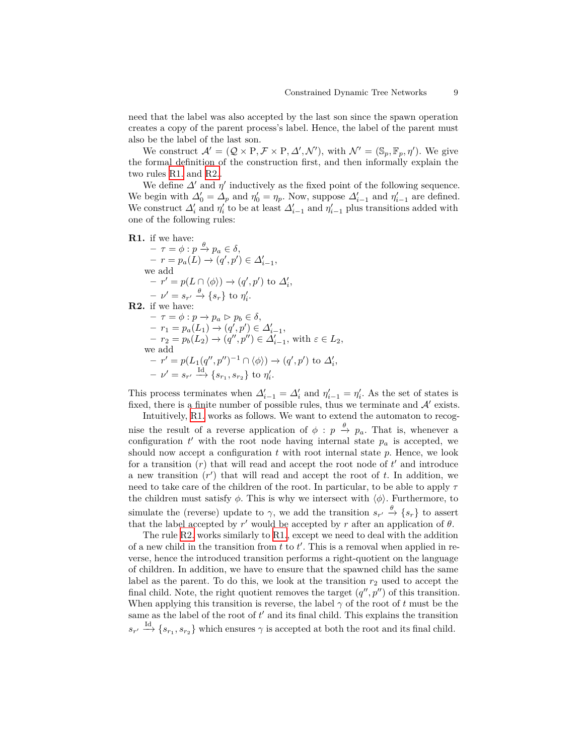need that the label was also accepted by the last son since the spawn operation creates a copy of the parent process's label. Hence, the label of the parent must also be the label of the last son.

We construct  $\mathcal{A}' = (\mathcal{Q} \times P, \mathcal{F} \times P, \mathcal{A}', \mathcal{N}')$ , with  $\mathcal{N}' = (\mathbb{S}_p, \mathbb{F}_p, \eta')$ . We give the formal definition of the construction first, and then informally explain the two rules [R1.](#page-8-0) and [R2.](#page-8-1).

We define  $\Delta'$  and  $\eta'$  inductively as the fixed point of the following sequence. We begin with  $\Delta'_0 = \Delta_p$  and  $\eta'_0 = \eta_p$ . Now, suppose  $\Delta'_{i-1}$  and  $\eta'_{i-1}$  are defined. We construct  $\Delta'_{i}$  and  $\eta'_{i}$  to be at least  $\Delta'_{i-1}$  and  $\eta'_{i-1}$  plus transitions added with one of the following rules:

<span id="page-8-0"></span>**R1.** if we have:

 $-\tau = \phi : p \xrightarrow{\theta} p_a \in \delta,$  $-r = p_a(L) \to (q', p') \in \Delta'_{i-1},$ we add  $- r' = p(L \cap \langle \phi \rangle) \rightarrow (q', p')$  to  $\Delta'_i$ ,  $-\nu' = s_{r'} \xrightarrow{\theta} \{s_r\}$  to  $\eta'_i$ . **R2.** if we have:

<span id="page-8-1"></span> $-\tau = \phi : p \to p_a \rhd p_b \in \delta,$  $-r_1 = p_a(L_1) \rightarrow (q', p') \in \Delta'_{i-1},$ <br>  $\vdots$  $-$  *r*<sub>2</sub> = *p*<sub>*b*</sub></sub>(*L*<sub>2</sub>) → (*q''*, *p''*)  $\in$   $\Delta'_{i-1}$ , with  $\varepsilon \in L_2$ , we add  $\rightarrow$  *r'* = *p*(*L*<sub>1</sub>(*q''*, *p''*)<sup>−1</sup> ∩  $\langle \phi \rangle$ ) → (*q'*, *p'*) to  $\Delta'_{i}$ ,  $-\nu' = s_{r'} \xrightarrow{\text{Id}} \{s_{r_1}, s_{r_2}\} \text{ to } \eta'_i.$ 

This process terminates when  $\Delta'_{i-1} = \Delta'_{i}$  and  $\eta'_{i-1} = \eta'_{i}$ . As the set of states is fixed, there is a finite number of possible rules, thus we terminate and  $A'$  exists.

Intuitively, [R1.](#page-8-0) works as follows. We want to extend the automaton to recognise the result of a reverse application of  $\phi : p \stackrel{\theta}{\to} p_a$ . That is, whenever a configuration  $t'$  with the root node having internal state  $p_a$  is accepted, we should now accept a configuration *t* with root internal state *p*. Hence, we look for a transition (*r*) that will read and accept the root node of *t ′* and introduce a new transition (*r ′* ) that will read and accept the root of *t*. In addition, we need to take care of the children of the root. In particular, to be able to apply *τ* the children must satisfy  $\phi$ . This is why we intersect with  $\langle \phi \rangle$ . Furthermore, to simulate the (reverse) update to  $\gamma$ , we add the transition  $s_{r'} \stackrel{\theta}{\to} \{s_r\}$  to assert that the label accepted by  $r'$  would be accepted by  $r$  after an application of  $\theta$ .

The rule [R2.](#page-8-1) works similarly to [R1.](#page-8-0), except we need to deal with the addition of a new child in the transition from *t* to *t ′* . This is a removal when applied in reverse, hence the introduced transition performs a right-quotient on the language of children. In addition, we have to ensure that the spawned child has the same label as the parent. To do this, we look at the transition  $r_2$  used to accept the final child. Note, the right quotient removes the target  $(q'', p'')$  of this transition. When applying this transition is reverse, the label  $\gamma$  of the root of t must be the same as the label of the root of *t ′* and its final child. This explains the transition  $s_{r'} \stackrel{\text{Id}}{\longrightarrow} \{s_{r_1}, s_{r_2}\}\$  which ensures  $\gamma$  is accepted at both the root and its final child.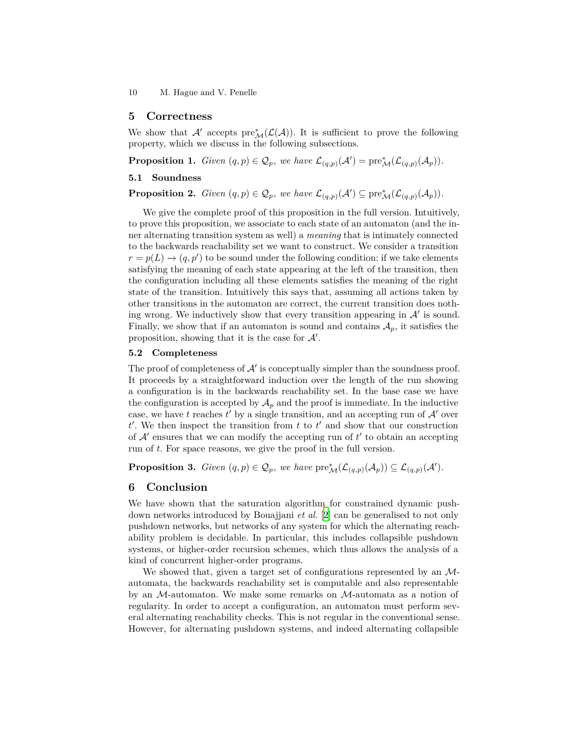10 M. Hague and V. Penelle

### **5 Correctness**

We show that *A'* accepts  $pre^*_{\mathcal{M}}(\mathcal{L}(\mathcal{A}))$ . It is sufficient to prove the following property, which we discuss in the following subsections.

**Proposition 1.** *Given*  $(q, p) \in \mathcal{Q}_p$ *, we have*  $\mathcal{L}_{(q,p)}(\mathcal{A}') = \text{pre}^*_{\mathcal{M}}(\mathcal{L}_{(q,p)}(\mathcal{A}_p))$ *.* 

### **5.1 Soundness**

**Proposition 2.** *Given*  $(q, p) \in \mathcal{Q}_p$ *, we have*  $\mathcal{L}_{(q,p)}(\mathcal{A}') \subseteq \text{pre}^*_{\mathcal{M}}(\mathcal{L}_{(q,p)}(\mathcal{A}_p))$ *.* 

We give the complete proof of this proposition in the full version. Intuitively, to prove this proposition, we associate to each state of an automaton (and the inner alternating transition system as well) a *meaning* that is intimately connected to the backwards reachability set we want to construct. We consider a transition  $r = p(L) \rightarrow (q, p')$  to be sound under the following condition: if we take elements satisfying the meaning of each state appearing at the left of the transition, then the configuration including all these elements satisfies the meaning of the right state of the transition. Intuitively this says that, assuming all actions taken by other transitions in the automaton are correct, the current transition does nothing wrong. We inductively show that every transition appearing in *A′* is sound. Finally, we show that if an automaton is sound and contains  $A_p$ , it satisfies the proposition, showing that it is the case for *A′* .

### **5.2 Completeness**

The proof of completeness of  $\mathcal{A}'$  is conceptually simpler than the soundness proof. It proceeds by a straightforward induction over the length of the run showing a configuration is in the backwards reachability set. In the base case we have the configuration is accepted by  $A_p$  and the proof is immediate. In the inductive case, we have *t* reaches  $t'$  by a single transition, and an accepting run of  $A'$  over  $t'$ . We then inspect the transition from  $t$  to  $t'$  and show that our construction of *A′* ensures that we can modify the accepting run of *t ′* to obtain an accepting run of *t*. For space reasons, we give the proof in the full version.

**Proposition 3.** *Given*  $(q, p) \in \mathcal{Q}_p$ *, we have*  $\text{pre}^*_{\mathcal{M}}(\mathcal{L}_{(q,p)}(\mathcal{A}_p)) \subseteq \mathcal{L}_{(q,p)}(\mathcal{A}')$ *.* 

### **6 Conclusion**

We have shown that the saturation algorithm for constrained dynamic pushdown networks introduced by Bouajjani *et al.* [\[2](#page-10-0)] can be generalised to not only pushdown networks, but networks of any system for which the alternating reachability problem is decidable. In particular, this includes collapsible pushdown systems, or higher-order recursion schemes, which thus allows the analysis of a kind of concurrent higher-order programs.

We showed that, given a target set of configurations represented by an *M*automata, the backwards reachability set is computable and also representable by an *M*-automaton. We make some remarks on *M*-automata as a notion of regularity. In order to accept a configuration, an automaton must perform several alternating reachability checks. This is not regular in the conventional sense. However, for alternating pushdown systems, and indeed alternating collapsible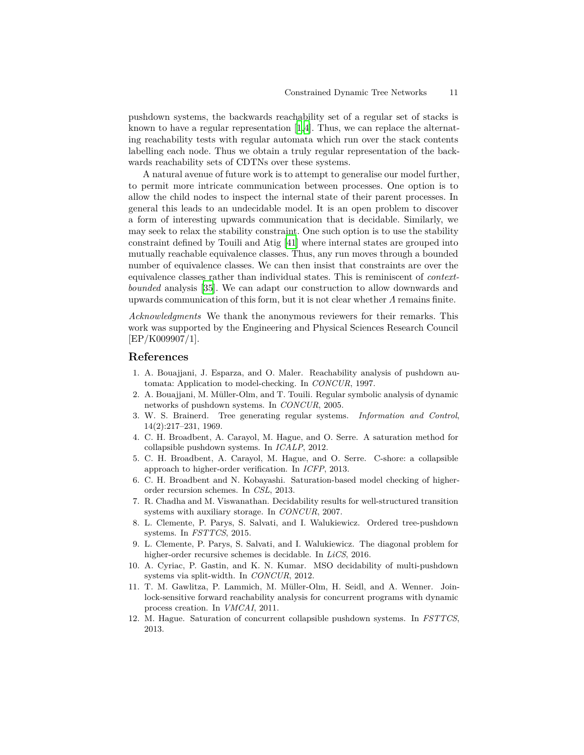pushdown systems, the backwards reachability set of a regular set of stacks is known to have a regular representation [\[1](#page-10-7)[,4](#page-10-1)]. Thus, we can replace the alternating reachability tests with regular automata which run over the stack contents labelling each node. Thus we obtain a truly regular representation of the backwards reachability sets of CDTNs over these systems.

A natural avenue of future work is to attempt to generalise our model further, to permit more intricate communication between processes. One option is to allow the child nodes to inspect the internal state of their parent processes. In general this leads to an undecidable model. It is an open problem to discover a form of interesting upwards communication that is decidable. Similarly, we may seek to relax the stability constraint. One such option is to use the stability constraint defined by Touili and Atig [[41\]](#page-12-1) where internal states are grouped into mutually reachable equivalence classes. Thus, any run moves through a bounded number of equivalence classes. We can then insist that constraints are over the equivalence classes rather than individual states. This is reminiscent of *contextbounded* analysis [\[35](#page-11-24)]. We can adapt our construction to allow downwards and upwards communication of this form, but it is not clear whether *Λ* remains finite.

*Acknowledgments* We thank the anonymous reviewers for their remarks. This work was supported by the Engineering and Physical Sciences Research Council [EP/K009907/1].

# **References**

- <span id="page-10-7"></span>1. A. Bouajjani, J. Esparza, and O. Maler. Reachability analysis of pushdown automata: Application to model-checking. In *CONCUR*, 1997.
- <span id="page-10-0"></span>2. A. Bouajjani, M. Müller-Olm, and T. Touili. Regular symbolic analysis of dynamic networks of pushdown systems. In *CONCUR*, 2005.
- <span id="page-10-8"></span>3. W. S. Brainerd. Tree generating regular systems. *Information and Control*, 14(2):217–231, 1969.
- <span id="page-10-1"></span>4. C. H. Broadbent, A. Carayol, M. Hague, and O. Serre. A saturation method for collapsible pushdown systems. In *ICALP*, 2012.
- <span id="page-10-2"></span>5. C. H. Broadbent, A. Carayol, M. Hague, and O. Serre. C-shore: a collapsible approach to higher-order verification. In *ICFP*, 2013.
- <span id="page-10-3"></span>6. C. H. Broadbent and N. Kobayashi. Saturation-based model checking of higherorder recursion schemes. In *CSL*, 2013.
- <span id="page-10-5"></span>7. R. Chadha and M. Viswanathan. Decidability results for well-structured transition systems with auxiliary storage. In *CONCUR*, 2007.
- <span id="page-10-9"></span>8. L. Clemente, P. Parys, S. Salvati, and I. Walukiewicz. Ordered tree-pushdown systems. In *FSTTCS*, 2015.
- <span id="page-10-10"></span>9. L. Clemente, P. Parys, S. Salvati, and I. Walukiewicz. The diagonal problem for higher-order recursive schemes is decidable. In *LiCS*, 2016.
- <span id="page-10-11"></span>10. A. Cyriac, P. Gastin, and K. N. Kumar. MSO decidability of multi-pushdown systems via split-width. In *CONCUR*, 2012.
- <span id="page-10-6"></span>11. T. M. Gawlitza, P. Lammich, M. Müller-Olm, H. Seidl, and A. Wenner. Joinlock-sensitive forward reachability analysis for concurrent programs with dynamic process creation. In *VMCAI*, 2011.
- <span id="page-10-4"></span>12. M. Hague. Saturation of concurrent collapsible pushdown systems. In *FSTTCS*, 2013.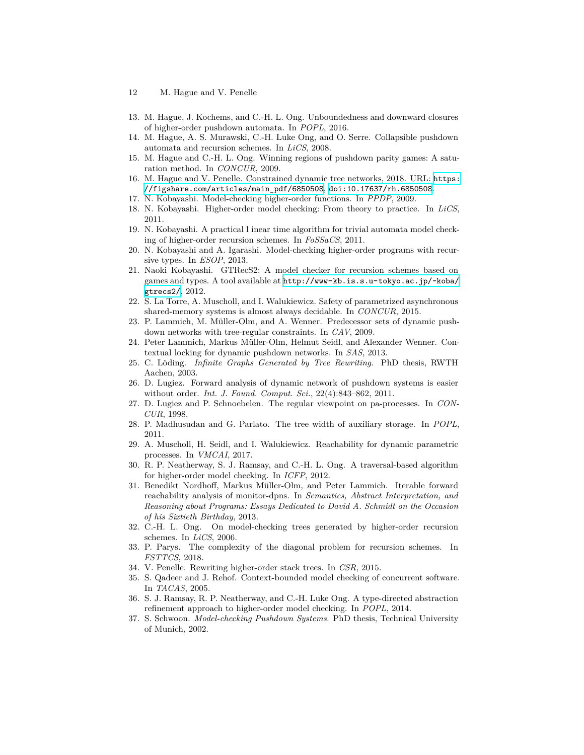- 12 M. Hague and V. Penelle
- <span id="page-11-21"></span>13. M. Hague, J. Kochems, and C.-H. L. Ong. Unboundedness and downward closures of higher-order pushdown automata. In *POPL*, 2016.
- <span id="page-11-0"></span>14. M. Hague, A. S. Murawski, C.-H. Luke Ong, and O. Serre. Collapsible pushdown automata and recursion schemes. In *LiCS*, 2008.
- <span id="page-11-8"></span>15. M. Hague and C.-H. L. Ong. Winning regions of pushdown parity games: A saturation method. In *CONCUR*, 2009.
- <span id="page-11-9"></span>16. M. Hague and V. Penelle. Constrained dynamic tree networks, 2018. URL: [https:](https://figshare.com/articles/main_pdf/6850508) [//figshare.com/articles/main\\_pdf/6850508](https://figshare.com/articles/main_pdf/6850508), [doi:10.17637/rh.6850508](http://dx.doi.org/10.17637/rh.6850508).
- <span id="page-11-3"></span>17. N. Kobayashi. Model-checking higher-order functions. In *PPDP*, 2009.
- <span id="page-11-2"></span>18. N. Kobayashi. Higher-order model checking: From theory to practice. In *LiCS*, 2011.
- <span id="page-11-4"></span>19. N. Kobayashi. A practical l inear time algorithm for trivial automata model checking of higher-order recursion schemes. In *FoSSaCS*, 2011.
- <span id="page-11-14"></span>20. N. Kobayashi and A. Igarashi. Model-checking higher-order programs with recursive types. In *ESOP*, 2013.
- <span id="page-11-5"></span>21. Naoki Kobayashi. GTRecS2: A model checker for recursion schemes based on games and types. A tool available at [http://www-kb.is.s.u-tokyo.ac.jp/~koba/](http://www-kb.is.s.u-tokyo.ac.jp/~koba/gtrecs2/) [gtrecs2/](http://www-kb.is.s.u-tokyo.ac.jp/~koba/gtrecs2/), 2012.
- <span id="page-11-19"></span>22. S. La Torre, A. Muscholl, and I. Walukiewicz. Safety of parametrized asynchronous shared-memory systems is almost always decidable. In *CONCUR*, 2015.
- <span id="page-11-12"></span>23. P. Lammich, M. Müller-Olm, and A. Wenner. Predecessor sets of dynamic pushdown networks with tree-regular constraints. In *CAV*, 2009.
- <span id="page-11-11"></span>24. Peter Lammich, Markus Müller-Olm, Helmut Seidl, and Alexander Wenner. Contextual locking for dynamic pushdown networks. In *SAS*, 2013.
- <span id="page-11-16"></span>25. C. Löding. *Infinite Graphs Generated by Tree Rewriting*. PhD thesis, RWTH Aachen, 2003.
- <span id="page-11-10"></span>26. D. Lugiez. Forward analysis of dynamic network of pushdown systems is easier without order. *Int. J. Found. Comput. Sci.*, 22(4):843–862, 2011.
- <span id="page-11-17"></span>27. D. Lugiez and P. Schnoebelen. The regular viewpoint on pa-processes. In *CON-CUR*, 1998.
- <span id="page-11-23"></span>28. P. Madhusudan and G. Parlato. The tree width of auxiliary storage. In *POPL*, 2011.
- <span id="page-11-20"></span>29. A. Muscholl, H. Seidl, and I. Walukiewicz. Reachability for dynamic parametric processes. In *VMCAI*, 2017.
- <span id="page-11-6"></span>30. R. P. Neatherway, S. J. Ramsay, and C.-H. L. Ong. A traversal-based algorithm for higher-order model checking. In *ICFP*, 2012.
- <span id="page-11-13"></span>31. Benedikt Nordhoff, Markus Müller-Olm, and Peter Lammich. Iterable forward reachability analysis of monitor-dpns. In *Semantics, Abstract Interpretation, and Reasoning about Programs: Essays Dedicated to David A. Schmidt on the Occasion of his Sixtieth Birthday*, 2013.
- <span id="page-11-1"></span>32. C.-H. L. Ong. On model-checking trees generated by higher-order recursion schemes. In *LiCS*, 2006.
- <span id="page-11-22"></span>33. P. Parys. The complexity of the diagonal problem for recursion schemes. In *FSTTCS*, 2018.
- <span id="page-11-18"></span>34. V. Penelle. Rewriting higher-order stack trees. In *CSR*, 2015.
- <span id="page-11-24"></span>35. S. Qadeer and J. Rehof. Context-bounded model checking of concurrent software. In *TACAS*, 2005.
- <span id="page-11-7"></span>36. S. J. Ramsay, R. P. Neatherway, and C.-H. Luke Ong. A type-directed abstraction refinement approach to higher-order model checking. In *POPL*, 2014.
- <span id="page-11-15"></span>37. S. Schwoon. *Model-checking Pushdown Systems*. PhD thesis, Technical University of Munich, 2002.